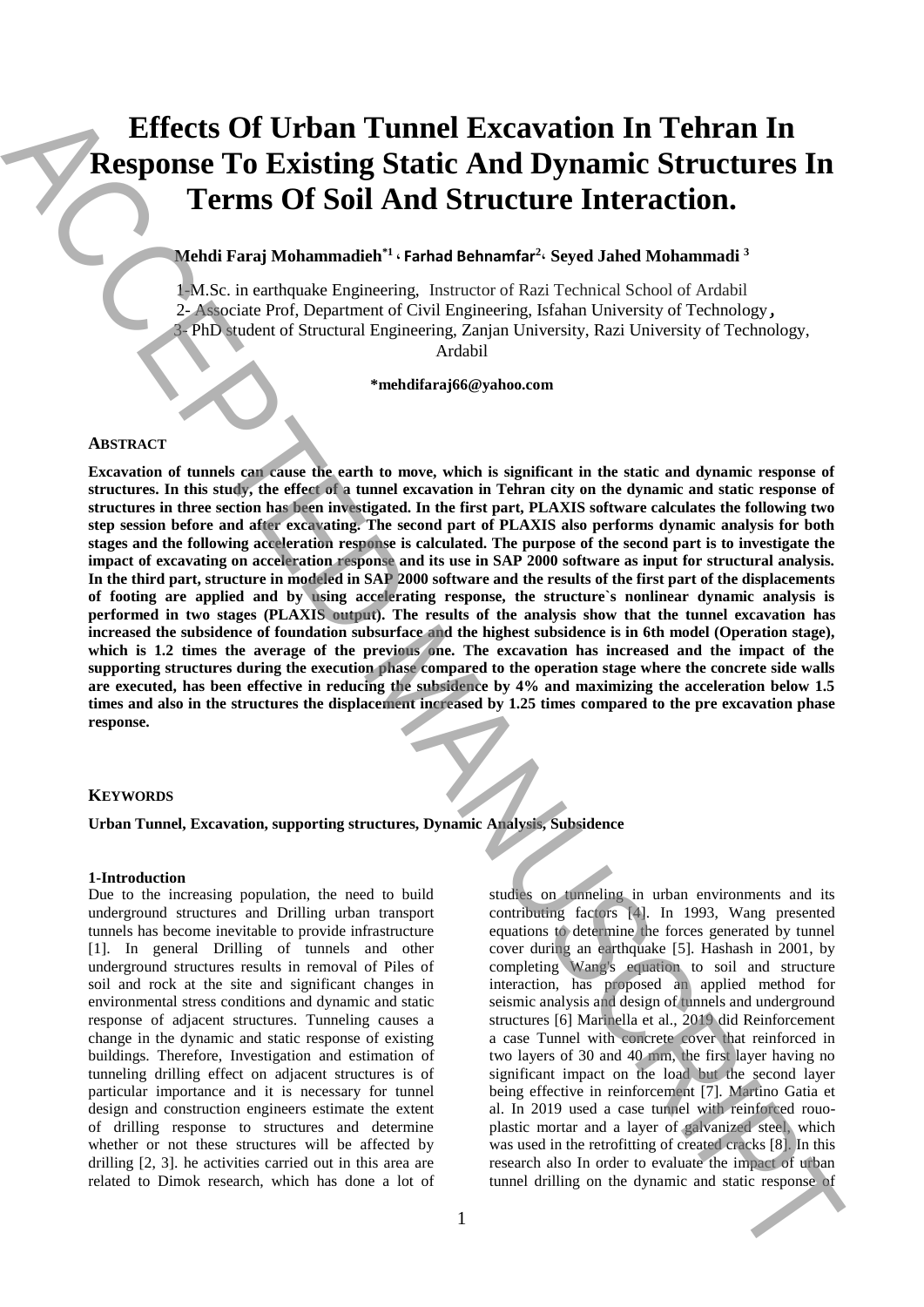# **Effects Of Urban Tunnel Excavation In Tehran In Response To Existing Static And Dynamic Structures In Terms Of Soil And Structure Interaction.**

## **Mehdi Faraj Mohammadieh\*1 ، Farhad Behnamfar<sup>2</sup> ، Seyed Jahed Mohammadi <sup>3</sup>**

1-M.Sc. in earthquake Engineering, Instructor of Razi Technical School of Ardabil 2- Associate Prof, Department of Civil Engineering, Isfahan University of Technology, 3- PhD student of Structural Engineering, Zanjan University, Razi University of Technology,

Ardabil

**\*mehdifaraj66@yahoo.com**

#### **ABSTRACT**

**Excavation of tunnels can cause the earth to move, which is significant in the static and dynamic response of structures. In this study, the effect of a tunnel excavation in Tehran city on the dynamic and static response of structures in three section has been investigated. In the first part, PLAXIS software calculates the following two step session before and after excavating. The second part of PLAXIS also performs dynamic analysis for both stages and the following acceleration response is calculated. The purpose of the second part is to investigate the impact of excavating on acceleration response and its use in SAP 2000 software as input for structural analysis. In the third part, structure in modeled in SAP 2000 software and the results of the first part of the displacements of footing are applied and by using accelerating response, the structure`s nonlinear dynamic analysis is performed in two stages (PLAXIS output). The results of the analysis show that the tunnel excavation has increased the subsidence of foundation subsurface and the highest subsidence is in 6th model (Operation stage),**  which is 1.2 times the average of the previous one. The excavation has increased and the impact of the **supporting structures during the execution phase compared to the operation stage where the concrete side walls are executed, has been effective in reducing the subsidence by 4% and maximizing the acceleration below 1.5 times and also in the structures the displacement increased by 1.25 times compared to the pre excavation phase response. Effects Of Urban Tunnel Excavation In Tehran In<br>
Response To Existing Static And Dynamic Structures In<br>
Terms of Soil And Structure Interaction.**<br> **The dynamic static relationship of ACCEPTED MANUSCRIPT (ACCEPTED MANUSCR** 

#### **KEYWORDS**

## **Urban Tunnel, Excavation, supporting structures, Dynamic Analysis, Subsidence**

#### **1-Introduction**

Due to the increasing population, the need to build underground structures and Drilling urban transport tunnels has become inevitable to provide infrastructure [1]. In general Drilling of tunnels and other underground structures results in removal of Piles of soil and rock at the site and significant changes in environmental stress conditions and dynamic and static response of adjacent structures. Tunneling causes a change in the dynamic and static response of existing buildings. Therefore, Investigation and estimation of tunneling drilling effect on adjacent structures is of particular importance and it is necessary for tunnel design and construction engineers estimate the extent of drilling response to structures and determine whether or not these structures will be affected by drilling [2, 3]. he activities carried out in this area are related to Dimok research, which has done a lot of

studies on tunneling in urban environments and its contributing factors [4]. In 1993, Wang presented equations to determine the forces generated by tunnel cover during an earthquake [5]. Hashash in 2001, by completing Wang's equation to soil and structure interaction, has proposed an applied method for seismic analysis and design of tunnels and underground structures [6] Marinella et al., 2019 did Reinforcement a case Tunnel with concrete cover that reinforced in two layers of 30 and 40 mm, the first layer having no significant impact on the load but the second layer being effective in reinforcement [7]. Martino Gatia et al. In 2019 used a case tunnel with reinforced rouoplastic mortar and a layer of galvanized steel, which was used in the retrofitting of created cracks [8]. In this research also In order to evaluate the impact of urban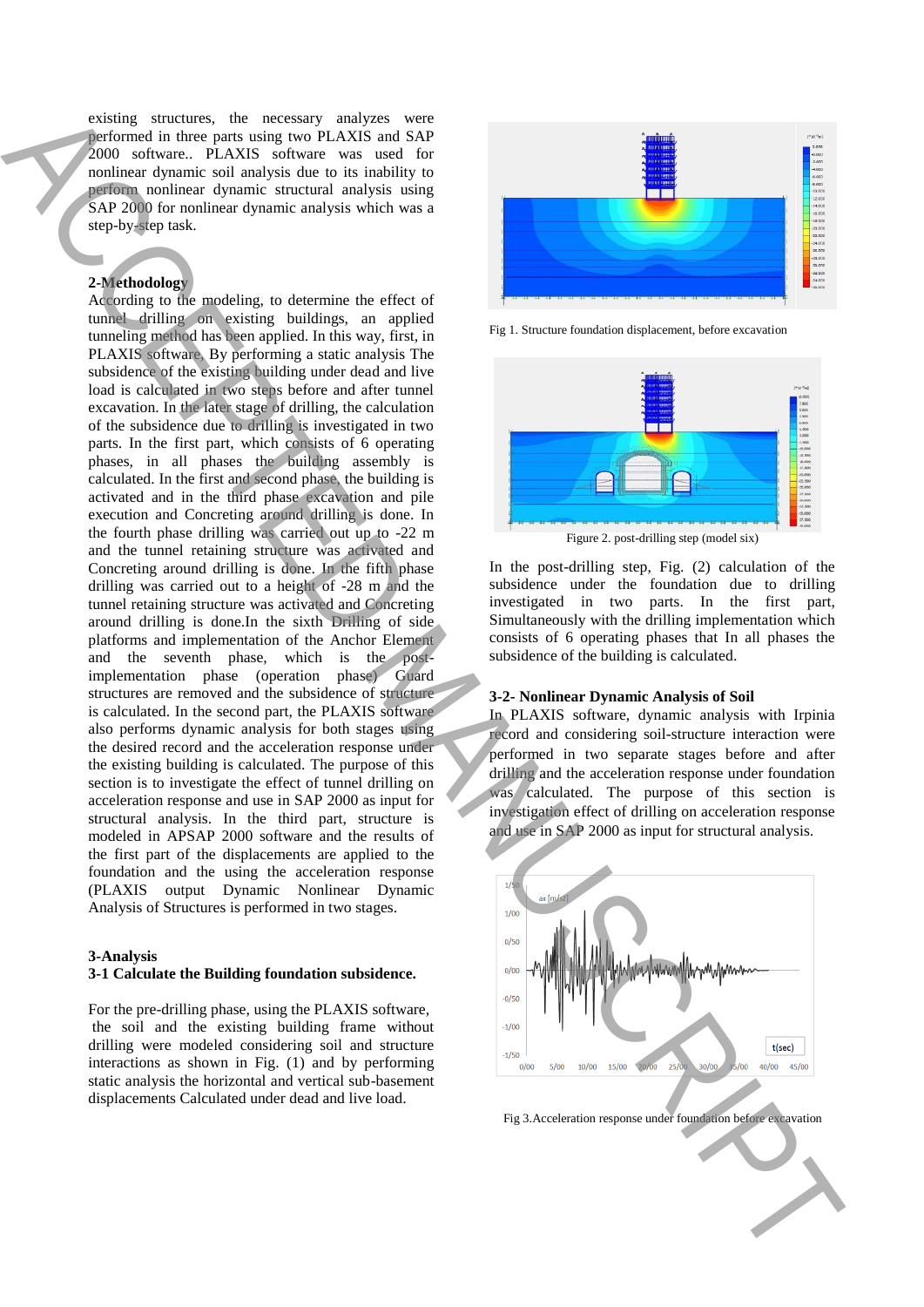existing structures, the necessary analyzes were performed in three parts using two PLAXIS and SAP 2000 software.. PLAXIS software was used for nonlinear dynamic soil analysis due to its inability to perform nonlinear dynamic structural analysis using SAP 2000 for nonlinear dynamic analysis which was a step-by-step task.

#### **2-Methodology**

According to the modeling, to determine the effect of tunnel drilling on existing buildings, an applied tunneling method has been applied. In this way, first, in PLAXIS software, By performing a static analysis The subsidence of the existing building under dead and live load is calculated in two steps before and after tunnel excavation. In the later stage of drilling, the calculation of the subsidence due to drilling is investigated in two parts. In the first part, which consists of 6 operating phases, in all phases the building assembly is calculated. In the first and second phase, the building is activated and in the third phase excavation and pile execution and Concreting around drilling is done. In the fourth phase drilling was carried out up to -22 m and the tunnel retaining structure was activated and Concreting around drilling is done. In the fifth phase drilling was carried out to a height of -28 m and the tunnel retaining structure was activated and Concreting around drilling is done.In the sixth Drilling of side platforms and implementation of the Anchor Element and the seventh phase, which is the postimplementation phase (operation phase) Guard structures are removed and the subsidence of structure is calculated. In the second part, the PLAXIS software also performs dynamic analysis for both stages using the desired record and the acceleration response under the existing building is calculated. The purpose of this section is to investigate the effect of tunnel drilling on acceleration response and use in SAP 2000 as input for structural analysis. In the third part, structure is modeled in APSAP 2000 software and the results of the first part of the displacements are applied to the foundation and the using the acceleration response (PLAXIS output Dynamic Nonlinear Dynamic Analysis of Structures is performed in two stages. Figure 1.3. Acceleration response under foundation response under foundation response under the control of the control of the control of the control of the control of the control of the control of the control of the contr

#### **3-Analysis**

#### **3-1 Calculate the Building foundation subsidence.**

For the pre-drilling phase, using the PLAXIS software, the soil and the existing building frame without drilling were modeled considering soil and structure interactions as shown in Fig. (1) and by performing static analysis the horizontal and vertical sub-basement displacements Calculated under dead and live load.



Fig 1. Structure foundation displacement, before excavation



In the post-drilling step, Fig. (2) calculation of the subsidence under the foundation due to drilling investigated in two parts. In the first part, Simultaneously with the drilling implementation which consists of 6 operating phases that In all phases the subsidence of the building is calculated.

#### **3-2- Nonlinear Dynamic Analysis of Soil**

In PLAXIS software, dynamic analysis with Irpinia record and considering soil-structure interaction were performed in two separate stages before and after drilling and the acceleration response under foundation was calculated. The purpose of this section is investigation effect of drilling on acceleration response and use in SAP 2000 as input for structural analysis.

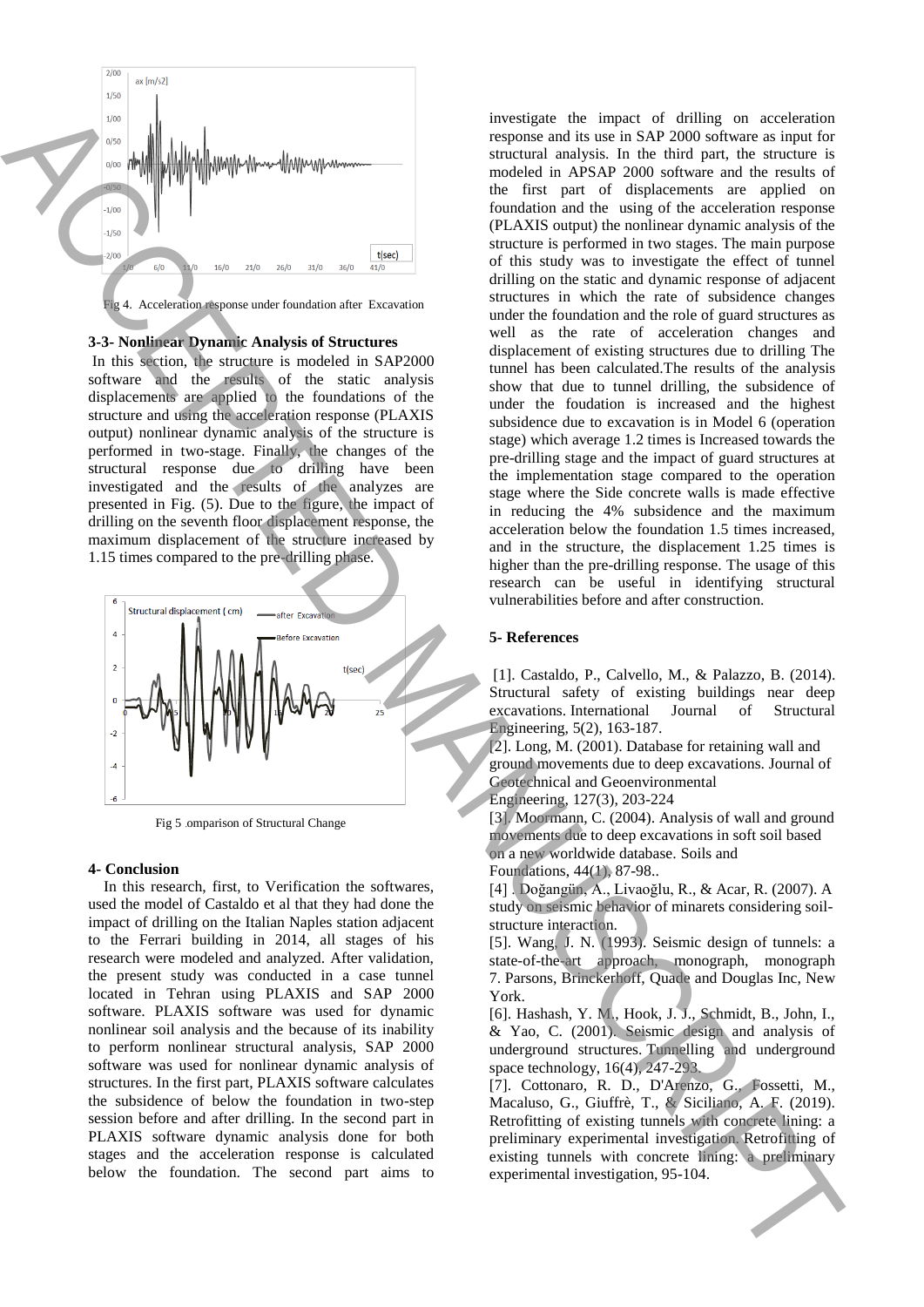

## **3-3- Nonlinear Dynamic Analysis of Structures**

In this section, the structure is modeled in SAP2000 software and the results of the static analysis displacements are applied to the foundations of the structure and using the acceleration response (PLAXIS output) nonlinear dynamic analysis of the structure is performed in two-stage. Finally, the changes of the structural response due to drilling have been investigated and the results of the analyzes are presented in Fig. (5). Due to the figure, the impact of drilling on the seventh floor displacement response, the maximum displacement of the structure increased by 1.15 times compared to the pre-drilling phase.



Fig 5 .omparison of Structural Change

## **4- Conclusion**

 In this research, first, to Verification the softwares, used the model of Castaldo et al that they had done the impact of drilling on the Italian Naples station adjacent to the Ferrari building in 2014, all stages of his research were modeled and analyzed. After validation, the present study was conducted in a case tunnel located in Tehran using PLAXIS and SAP 2000 software. PLAXIS software was used for dynamic nonlinear soil analysis and the because of its inability to perform nonlinear structural analysis, SAP 2000 software was used for nonlinear dynamic analysis of structures. In the first part, PLAXIS software calculates the subsidence of below the foundation in two-step session before and after drilling. In the second part in PLAXIS software dynamic analysis done for both stages and the acceleration response is calculated below the foundation. The second part aims to

investigate the impact of drilling on acceleration response and its use in SAP 2000 software as input for structural analysis. In the third part, the structure is modeled in APSAP 2000 software and the results of the first part of displacements are applied on foundation and the using of the acceleration response (PLAXIS output) the nonlinear dynamic analysis of the structure is performed in two stages. The main purpose of this study was to investigate the effect of tunnel drilling on the static and dynamic response of adjacent structures in which the rate of subsidence changes under the foundation and the role of guard structures as well as the rate of acceleration changes and displacement of existing structures due to drilling The tunnel has been calculated.The results of the analysis show that due to tunnel drilling, the subsidence of under the foudation is increased and the highest subsidence due to excavation is in Model 6 (operation stage) which average 1.2 times is Increased towards the pre-drilling stage and the impact of guard structures at the implementation stage compared to the operation stage where the Side concrete walls is made effective in reducing the 4% subsidence and the maximum acceleration below the foundation 1.5 times increased, and in the structure, the displacement 1.25 times is higher than the pre-drilling response. The usage of this research can be useful in identifying structural vulnerabilities before and after construction. experimental interactions are consistent in the same of the same of the same of the same of the same of the same of the same of the same of the same of the same of the same of the same of the same of the same of the same

### **5- References**

[1]. Castaldo, P., Calvello, M., & Palazzo, B. (2014). Structural safety of existing buildings near deep excavations. International Journal of Structural Engineering, 5(2), 163-187.

[2]. Long, M. (2001). Database for retaining wall and ground movements due to deep excavations. Journal of Geotechnical and Geoenvironmental

Engineering, 127(3), 203-224

[3]. Moormann, C. (2004). Analysis of wall and ground movements due to deep excavations in soft soil based on a new worldwide database. Soils and Foundations, 44(1), 87-98..

[4] . Doğangün, A., Livaoğlu, R., & Acar, R. (2007). A study on seismic behavior of minarets considering soilstructure interaction.

[5]. Wang, J. N. (1993). Seismic design of tunnels: a state-of-the-art approach, monograph, monograph 7. Parsons, Brinckerhoff, Quade and Douglas Inc, New York.

[6]. Hashash, Y. M., Hook, J. J., Schmidt, B., John, I., & Yao, C. (2001). Seismic design and analysis of underground structures. Tunnelling and underground space technology, 16(4), 247-293.

[7]. Cottonaro, R. D., D'Arenzo, G., Fossetti, M., Macaluso, G., Giuffrè, T., & Siciliano, A. F. (2019). Retrofitting of existing tunnels with concrete lining: a preliminary experimental investigation. Retrofitting of existing tunnels with concrete lining: a preliminary